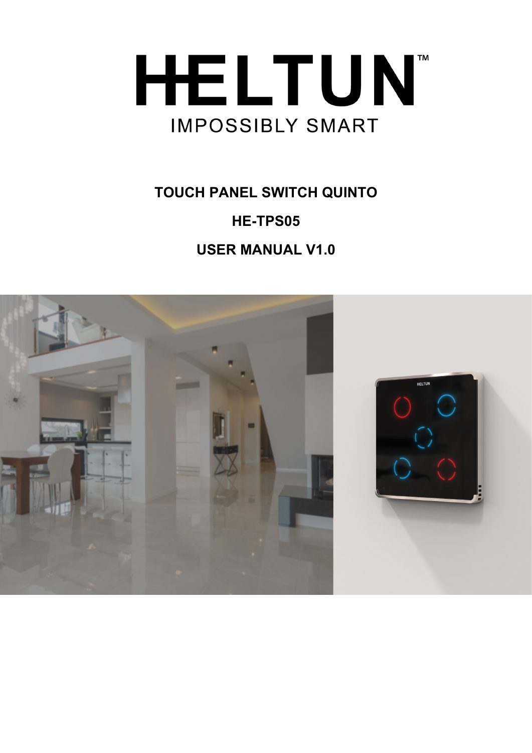

# **TOUCH PANEL SWITCH QUINTO HE-TPS05 USER MANUAL V1.0**

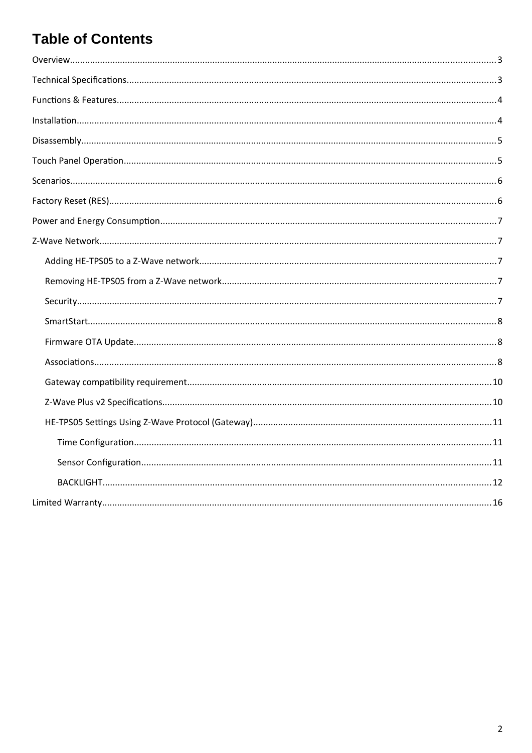## **Table of Contents**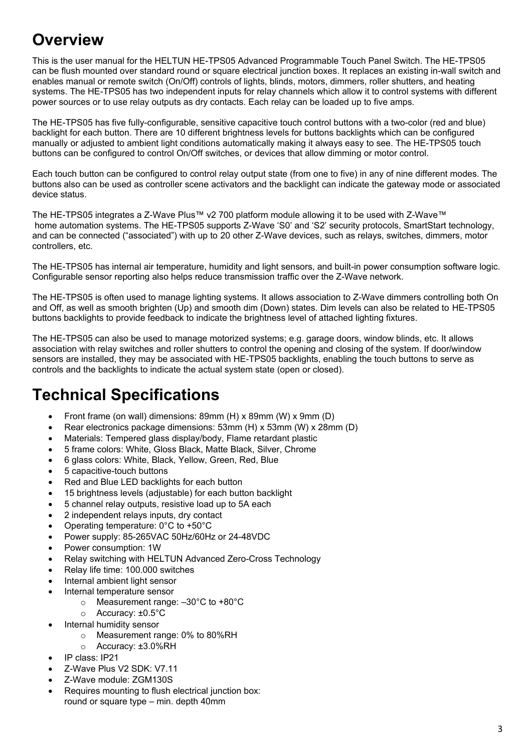# <span id="page-2-1"></span>**Overview**

This is the user manual for the HELTUN HE-TPS05 Advanced Programmable Touch Panel Switch. The HE-TPS05 can be flush mounted over standard round or square electrical junction boxes. It replaces an existing in-wall switch and enables manual or remote switch (On/Off) controls of lights, blinds, motors, dimmers, roller shutters, and heating systems. The HE-TPS05 has two independent inputs for relay channels which allow it to control systems with different power sources or to use relay outputs as dry contacts. Each relay can be loaded up to five amps.

The HE-TPS05 has five fully-configurable, sensitive capacitive touch control buttons with a two-color (red and blue) backlight for each button. There are 10 different brightness levels for buttons backlights which can be configured manually or adjusted to ambient light conditions automatically making it always easy to see. The HE-TPS05 touch buttons can be configured to control On/Off switches, or devices that allow dimming or motor control.

Each touch button can be configured to control relay output state (from one to five) in any of nine different modes. The buttons also can be used as controller scene activators and the backlight can indicate the gateway mode or associated device status.

The HE-TPS05 integrates a Z-Wave Plus™ v2 700 platform module allowing it to be used with Z-Wave™ home automation systems. The HE-TPS05 supports Z-Wave 'S0' and 'S2' security protocols, SmartStart technology, and can be connected ("associated") with up to 20 other Z-Wave devices, such as relays, switches, dimmers, motor controllers, etc.

The HE-TPS05 has internal air temperature, humidity and light sensors, and built-in power consumption software logic. Configurable sensor reporting also helps reduce transmission traffic over the Z-Wave network.

The HE-TPS05 is often used to manage lighting systems. It allows association to Z-Wave dimmers controlling both On and Off, as well as smooth brighten (Up) and smooth dim (Down) states. Dim levels can also be related to HE-TPS05 buttons backlights to provide feedback to indicate the brightness level of attached lighting fixtures.

The HE-TPS05 can also be used to manage motorized systems; e.g. garage doors, window blinds, etc. It allows association with relay switches and roller shutters to control the opening and closing of the system. If door/window sensors are installed, they may be associated with HE-TPS05 backlights, enabling the touch buttons to serve as controls and the backlights to indicate the actual system state (open or closed).

## <span id="page-2-0"></span>**Technical Specifications**

- **Front frame (on wall) dimensions: 89mm (H) x 89mm (W) x 9mm (D)**
- Rear electronics package dimensions: 53mm (H) х 53mm (W) х 28mm (D)
- Materials: Tempered glass display/body, Flame retardant plastic
- 5 frame colors: White, Gloss Black, Matte Black, Silver, Chrome
- 6 glass colors: White, Black, Yellow, Green, Red, Blue
- 5 capacitive-touch buttons
- Red and Blue LED backlights for each button
- 15 brightness levels (adjustable) for each button backlight
- 5 channel relay outputs, resistive load up to 5A each
- 2 independent relays inputs, dry contact
- Operating temperature: 0°С to +50°С
- Power supply: 85-265VAC 50Hz/60Hz or 24-48VDC
- Power consumption: 1W
- Relay switching with HELTUN Advanced Zero-Cross Technology
- Relay life time: 100.000 switches
- Internal ambient light sensor
- Internal temperature sensor
	- o Measurement range: –30°C to +80°C
	- o Accuracy: ±0.5°C
- Internal humidity sensor
	- o Measurement range: 0% to 80%RH
	- o Accuracy: ±3.0%RH
- IP class: IP21
- Z-Wave Plus V2 SDK: V7.11
- Z-Wave module: ZGM130S
- Requires mounting to flush electrical junction box: round or square type – min. depth 40mm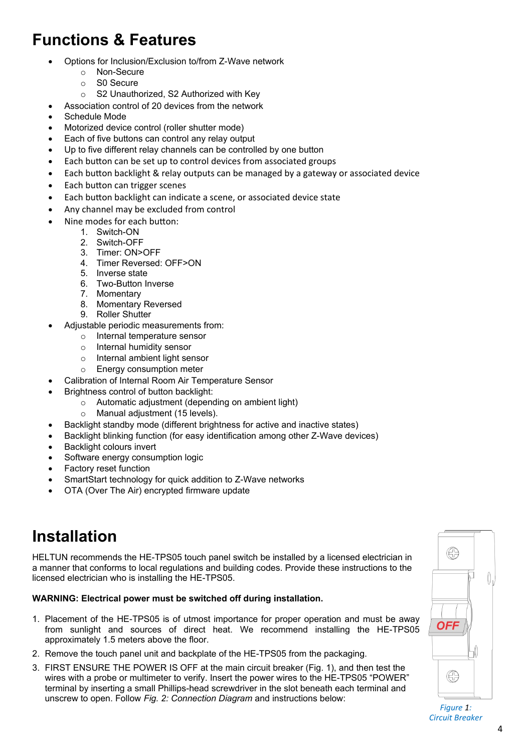# <span id="page-3-1"></span>**Functions & Features**

- Options for Inclusion/Exclusion to/from Z-Wave network
	- o Non-Secure
	- o S0 Secure
	- o S2 Unauthorized, S2 Authorized with Key
- Association control of 20 devices from the network
- Schedule Mode
- Motorized device control (roller shutter mode)
- Each of five buttons can control any relay output
- Up to five different relay channels can be controlled by one button
- Each button can be set up to control devices from associated groups
- Each button backlight & relay outputs can be managed by a gateway or associated device
- Each button can trigger scenes
- Each button backlight can indicate a scene, or associated device state
- Any channel may be excluded from control
- Nine modes for each button:
	- 1. Switch-ON
		- 2. Switch-OFF
		- 3. Timer: ON>OFF
		- 4. Timer Reversed: OFF>ON
		- 5. Inverse state
		- 6. Two-Button Inverse
		- 7. Momentary
		- 8. Momentary Reversed
		- 9. Roller Shutter
	- Adjustable periodic measurements from:
		- o Internal temperature sensor
		- o Internal humidity sensor
		- o Internal ambient light sensor
		- o Energy consumption meter
- Calibration of Internal Room Air Temperature Sensor
- Brightness control of button backlight:
	- o Automatic adjustment (depending on ambient light)
		- o Manual adjustment (15 levels).
- Backlight standby mode (different brightness for active and inactive states)
- Backlight blinking function (for easy identification among other Z-Wave devices)
- Backlight colours invert
- Software energy consumption logic
- Factory reset function
- SmartStart technology for quick addition to Z-Wave networks
- OTA (Over The Air) encrypted firmware update

## <span id="page-3-0"></span>**Installation**

HELTUN recommends the HE-TPS05 touch panel switch be installed by a licensed electrician in a manner that conforms to local regulations and building codes. Provide these instructions to the licensed electrician who is installing the HE-TPS05.

#### **WARNING: Electrical power must be switched off during installation.**

- 1. Placement of the HE-TPS05 is of utmost importance for proper operation and must be away from sunlight and sources of direct heat. We recommend installing the HE-TPS05 approximately 1.5 meters above the floor.
- 2. Remove the touch panel unit and backplate of the HE-TPS05 from the packaging.
- 3. FIRST ENSURE THE POWER IS OFF at the main circuit breaker (Fig. 1), and then test the wires with a probe or multimeter to verify. Insert the power wires to the HE-TPS05 "POWER" terminal by inserting a small Phillips-head screwdriver in the slot beneath each terminal and unscrew to open. Follow *Fig. 2: Connection Diagram* and instructions below:



*Figure 1: Circuit Breaker*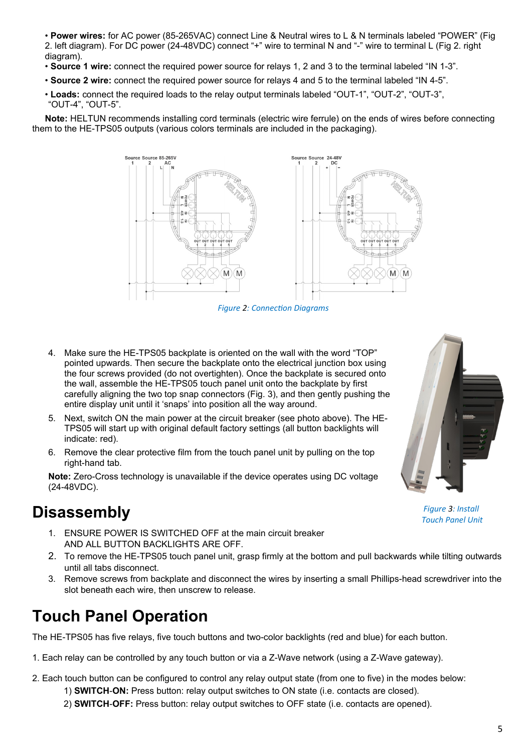• **Power wires:** for AC power (85-265VAC) connect Line & Neutral wires to L & N terminals labeled "POWER" (Fig 2. left diagram). For DC power (24-48VDC) connect "+" wire to terminal N and "-" wire to terminal L (Fig 2. right diagram).

- **Source 1 wire:** connect the required power source for relays 1, 2 and 3 to the terminal labeled "IN 1-3".
- **Source 2 wire:** connect the required power source for relays 4 and 5 to the terminal labeled "IN 4-5".
- **Loads:** connect the required loads to the relay output terminals labeled "OUT-1", "OUT-2", "OUT-3", "OUT-4", "OUT-5".

**Note:** HELTUN recommends installing cord terminals (electric wire ferrule) on the ends of wires before connecting them to the HE-TPS05 outputs (various colors terminals are included in the packaging).



*Figure 2: Connection Diagrams*

- 4. Make sure the HE-TPS05 backplate is oriented on the wall with the word "TOP" pointed upwards. Then secure the backplate onto the electrical junction box using the four screws provided (do not overtighten). Once the backplate is secured onto the wall, assemble the HE-TPS05 touch panel unit onto the backplate by first carefully aligning the two top snap connectors (Fig. 3), and then gently pushing the entire display unit until it 'snaps' into position all the way around.
- 5. Next, switch ON the main power at the circuit breaker (see photo above). The HE-TPS05 will start up with original default factory settings (all button backlights will indicate: red).
- 6. Remove the clear protective film from the touch panel unit by pulling on the top right-hand tab.

**Note:** Zero-Cross technology is unavailable if the device operates using DC voltage (24-48VDC).

## <span id="page-4-1"></span>**Disassembly**

- 1. ENSURE POWER IS SWITCHED OFF at the main circuit breaker AND ALL BUTTON BACKLIGHTS ARE OFF.
- 2. To remove the HE-TPS05 touch panel unit, grasp firmly at the bottom and pull backwards while tilting outwards until all tabs disconnect.
- 3. Remove screws from backplate and disconnect the wires by inserting a small Phillips-head screwdriver into the slot beneath each wire, then unscrew to release.

## <span id="page-4-0"></span>**Touch Panel Operation**

The HE-TPS05 has five relays, five touch buttons and two-color backlights (red and blue) for each button.

- 1. Each relay can be controlled by any touch button or via a Z-Wave network (using a Z-Wave gateway).
- 2. Each touch button can be configured to control any relay output state (from one to five) in the modes below:
	- 1) **SWITCH**-**ON:** Press button: relay output switches to ON state (i.e. contacts are closed).
	- 2) **SWITCH**-**OFF:** Press button: relay output switches to OFF state (i.e. contacts are opened).



*Figure 3: Install Touch Panel Unit*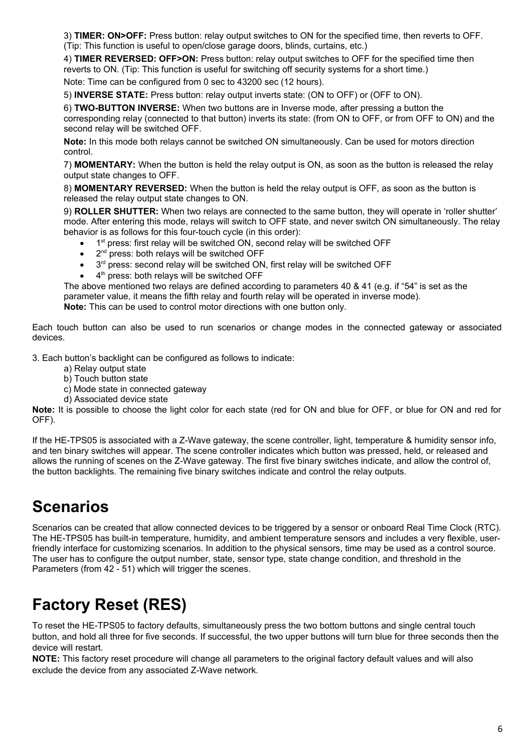3) **TIMER: ON>OFF:** Press button: relay output switches to ON for the specified time, then reverts to OFF. (Tip: This function is useful to open/close garage doors, blinds, curtains, etc.)

4) **TIMER REVERSED: OFF>ON:** Press button: relay output switches to OFF for the specified time then reverts to ON. (Tip: This function is useful for switching off security systems for a short time.)

Note: Time can be configured from 0 sec to 43200 sec (12 hours).

5) **INVERSE STATE:** Press button: relay output inverts state: (ON to OFF) or (OFF to ON).

6) **TWO-BUTTON INVERSE:** When two buttons are in Inverse mode, after pressing a button the corresponding relay (connected to that button) inverts its state: (from ON to OFF, or from OFF to ON) and the second relay will be switched OFF.

**Note:** In this mode both relays cannot be switched ON simultaneously. Can be used for motors direction control.

7) **MOMENTARY:** When the button is held the relay output is ON, as soon as the button is released the relay output state changes to OFF.

8) **MOMENTARY REVERSED:** When the button is held the relay output is OFF, as soon as the button is released the relay output state changes to ON.

9) **ROLLER SHUTTER:** When two relays are connected to the same button, they will operate in 'roller shutter' mode. After entering this mode, relays will switch to OFF state, and never switch ON simultaneously. The relay behavior is as follows for this four-touch cycle (in this order):

- 1<sup>st</sup> press: first relay will be switched ON, second relay will be switched OFF
- 2<sup>nd</sup> press: both relays will be switched OFF
- 3<sup>rd</sup> press: second relay will be switched ON, first relay will be switched OFF
- 4<sup>th</sup> press: both relays will be switched OFF

The above mentioned two relays are defined according to parameters 40 & 41 (e.g. if "54" is set as the parameter value, it means the fifth relay and fourth relay will be operated in inverse mode). **Note:** This can be used to control motor directions with one button only.

Each touch button can also be used to run scenarios or change modes in the connected gateway or associated devices.

3. Each button's backlight can be configured as follows to indicate:

- a) Relay output state
- b) Touch button state
- c) Mode state in connected gateway
- d) Associated device state

**Note:** It is possible to choose the light color for each state (red for ON and blue for OFF, or blue for ON and red for OFF).

If the HE-TPS05 is associated with a Z-Wave gateway, the scene controller, light, temperature & humidity sensor info, and ten binary switches will appear. The scene controller indicates which button was pressed, held, or released and allows the running of scenes on the Z-Wave gateway. The first five binary switches indicate, and allow the control of, the button backlights. The remaining five binary switches indicate and control the relay outputs.

## <span id="page-5-1"></span>**Scenarios**

Scenarios can be created that allow connected devices to be triggered by a sensor or onboard Real Time Clock (RTC). The HE-TPS05 has built-in temperature, humidity, and ambient temperature sensors and includes a very flexible, userfriendly interface for customizing scenarios. In addition to the physical sensors, time may be used as a control source. The user has to configure the output number, state, sensor type, state change condition, and threshold in the Parameters (from 42 - 51) which will trigger the scenes.

# <span id="page-5-0"></span>**Factory Reset (RES)**

To reset the HE-TPS05 to factory defaults, simultaneously press the two bottom buttons and single central touch button, and hold all three for five seconds. If successful, the two upper buttons will turn blue for three seconds then the device will restart.

**NOTE:** This factory reset procedure will change all parameters to the original factory default values and will also exclude the device from any associated Z-Wave network.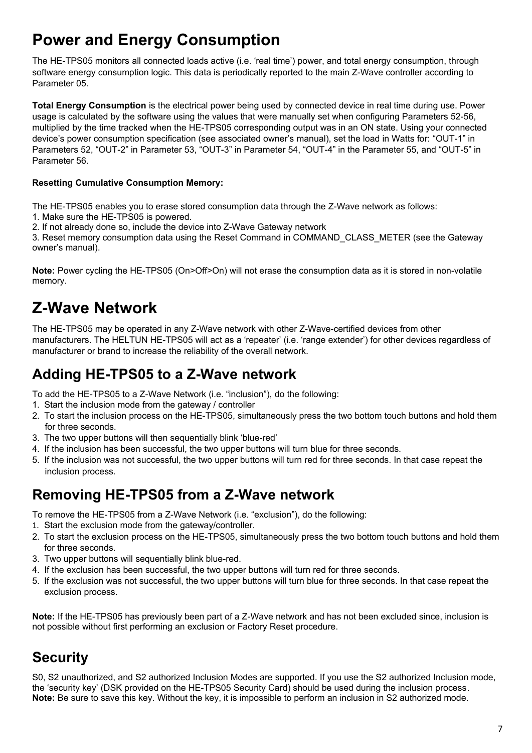## <span id="page-6-4"></span>**Power and Energy Consumption**

The HE-TPS05 monitors all connected loads active (i.e. 'real time') power, and total energy consumption, through software energy consumption logic. This data is periodically reported to the main Z-Wave controller according to Parameter 05.

**Total Energy Consumption** is the electrical power being used by connected device in real time during use. Power usage is calculated by the software using the values that were manually set when configuring Parameters 52-56, multiplied by the time tracked when the HE-TPS05 corresponding output was in an ON state. Using your connected device's power consumption specification (see associated owner's manual), set the load in Watts for: "OUT-1" in Parameters 52, "OUT-2" in Parameter 53, "OUT-3" in Parameter 54, "OUT-4" in the Parameter 55, and "OUT-5" in Parameter 56.

#### **Resetting Cumulative Consumption Memory:**

The HE-TPS05 enables you to erase stored consumption data through the Z-Wave network as follows:

1. Make sure the HE-TPS05 is powered.

2. If not already done so, include the device into Z-Wave Gateway network

3. Reset memory consumption data using the Reset Command in COMMAND\_CLASS\_METER (see the Gateway owner's manual).

**Note:** Power cycling the HE-TPS05 (On>Off>On) will not erase the consumption data as it is stored in non-volatile memory.

# <span id="page-6-3"></span>**Z-Wave Network**

The HE-TPS05 may be operated in any Z-Wave network with other Z-Wave-certified devices from other manufacturers. The HELTUN HE-TPS05 will act as a 'repeater' (i.e. 'range extender') for other devices regardless of manufacturer or brand to increase the reliability of the overall network.

### <span id="page-6-2"></span>**Adding HE-TPS05 to a Z-Wave network**

To add the HE-TPS05 to a Z-Wave Network (i.e. "inclusion"), do the following:

- 1. Start the inclusion mode from the gateway / controller
- 2. To start the inclusion process on the HE-TPS05, simultaneously press the two bottom touch buttons and hold them for three seconds.
- 3. The two upper buttons will then sequentially blink 'blue-red'
- 4. If the inclusion has been successful, the two upper buttons will turn blue for three seconds.
- 5. If the inclusion was not successful, the two upper buttons will turn red for three seconds. In that case repeat the inclusion process.

### <span id="page-6-1"></span>**Removing HE-TPS05 from a Z-Wave network**

To remove the HE-TPS05 from a Z-Wave Network (i.e. "exclusion"), do the following:

- 1. Start the exclusion mode from the gateway/controller.
- 2. To start the exclusion process on the HE-TPS05, simultaneously press the two bottom touch buttons and hold them for three seconds.
- 3. Two upper buttons will sequentially blink blue-red.
- 4. If the exclusion has been successful, the two upper buttons will turn red for three seconds.
- 5. If the exclusion was not successful, the two upper buttons will turn blue for three seconds. In that case repeat the exclusion process.

**Note:** If the HE-TPS05 has previously been part of a Z-Wave network and has not been excluded since, inclusion is not possible without first performing an exclusion or Factory Reset procedure.

## <span id="page-6-0"></span>**Security**

S0, S2 unauthorized, and S2 authorized Inclusion Modes are supported. If you use the S2 authorized Inclusion mode, the 'security key' (DSK provided on the HE-TPS05 Security Card) should be used during the inclusion process. **Note:** Be sure to save this key. Without the key, it is impossible to perform an inclusion in S2 authorized mode.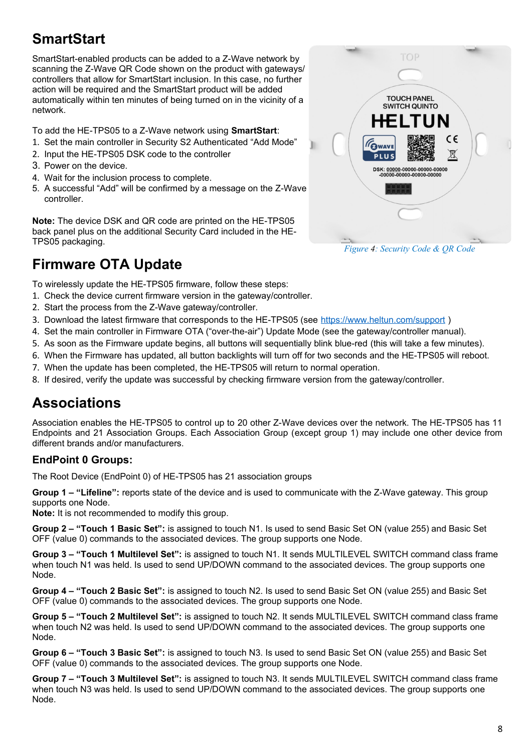## <span id="page-7-2"></span>**SmartStart**

SmartStart-enabled products can be added to a Z-Wave network by scanning the Z-Wave QR Code shown on the product with gateways/ controllers that allow for SmartStart inclusion. In this case, no further action will be required and the SmartStart product will be added automatically within ten minutes of being turned on in the vicinity of a network.

To add the HE-TPS05 to a Z-Wave network using **SmartStart**:

- 1. Set the main controller in Security S2 Authenticated "Add Mode"
- 2. Input the HE-TPS05 DSK code to the controller
- 3. Power on the device.
- 4. Wait for the inclusion process to complete.
- 5. A successful "Add" will be confirmed by a message on the Z-Wave controller.

**Note:** The device DSK and QR code are printed on the HE-TPS05 back panel plus on the additional Security Card included in the HE-TPS05 packaging.

### <span id="page-7-1"></span>**Firmware OTA Update**

To wirelessly update the HE-TPS05 firmware, follow these steps:

- 1. Check the device current firmware version in the gateway/controller.
- 2. Start the process from the Z-Wave gateway/controller.
- 3. Download the latest firmware that corresponds to the HE-TPS05 (see <https://www.heltun.com/support>)
- 4. Set the main controller in Firmware OTA ("over-the-air") Update Mode (see the gateway/controller manual).
- 5. As soon as the Firmware update begins, all buttons will sequentially blink blue-red (this will take a few minutes).
- 6. When the Firmware has updated, all button backlights will turn off for two seconds and the HE-TPS05 will reboot.
- 7. When the update has been completed, the HE-TPS05 will return to normal operation.
- 8. If desired, verify the update was successful by checking firmware version from the gateway/controller.

### <span id="page-7-0"></span>**Associations**

Association enables the HE-TPS05 to control up to 20 other Z-Wave devices over the network. The HE-TPS05 has 11 Endpoints and 21 Association Groups. Each Association Group (except group 1) may include one other device from different brands and/or manufacturers.

### **EndPoint 0 Groups:**

The Root Device (EndPoint 0) of HE-TPS05 has 21 association groups

**Group 1 – "Lifeline":** reports state of the device and is used to communicate with the Z-Wave gateway. This group supports one Node.

**Note:** It is not recommended to modify this group.

**Group 2 – "Touch 1 Basic Set":** is assigned to touch N1. Is used to send Basic Set ON (value 255) and Basic Set OFF (value 0) commands to the associated devices. The group supports one Node.

**Group 3 – "Touch 1 Multilevel Set":** is assigned to touch N1. It sends MULTILEVEL SWITCH command class frame when touch N1 was held. Is used to send UP/DOWN command to the associated devices. The group supports one Node.

**Group 4 – "Touch 2 Basic Set":** is assigned to touch N2. Is used to send Basic Set ON (value 255) and Basic Set OFF (value 0) commands to the associated devices. The group supports one Node.

**Group 5 – "Touch 2 Multilevel Set":** is assigned to touch N2. It sends MULTILEVEL SWITCH command class frame when touch N2 was held. Is used to send UP/DOWN command to the associated devices. The group supports one Node.

**Group 6 – "Touch 3 Basic Set":** is assigned to touch N3. Is used to send Basic Set ON (value 255) and Basic Set OFF (value 0) commands to the associated devices. The group supports one Node.

**Group 7 – "Touch 3 Multilevel Set":** is assigned to touch N3. It sends MULTILEVEL SWITCH command class frame when touch N3 was held. Is used to send UP/DOWN command to the associated devices. The group supports one Node.



*Figure 4: Security Code & QR Code*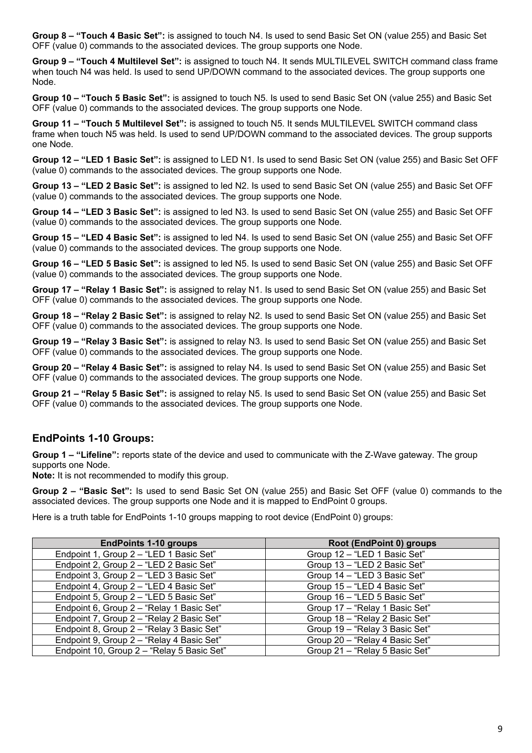**Group 8 – "Touch 4 Basic Set":** is assigned to touch N4. Is used to send Basic Set ON (value 255) and Basic Set OFF (value 0) commands to the associated devices. The group supports one Node.

**Group 9 – "Touch 4 Multilevel Set":** is assigned to touch N4. It sends MULTILEVEL SWITCH command class frame when touch N4 was held. Is used to send UP/DOWN command to the associated devices. The group supports one Node.

**Group 10 – "Touch 5 Basic Set":** is assigned to touch N5. Is used to send Basic Set ON (value 255) and Basic Set OFF (value 0) commands to the associated devices. The group supports one Node.

**Group 11 – "Touch 5 Multilevel Set":** is assigned to touch N5. It sends MULTILEVEL SWITCH command class frame when touch N5 was held. Is used to send UP/DOWN command to the associated devices. The group supports one Node.

**Group 12 – "LED 1 Basic Set":** is assigned to LED N1. Is used to send Basic Set ON (value 255) and Basic Set OFF (value 0) commands to the associated devices. The group supports one Node.

**Group 13 – "LED 2 Basic Set":** is assigned to led N2. Is used to send Basic Set ON (value 255) and Basic Set OFF (value 0) commands to the associated devices. The group supports one Node.

**Group 14 – "LED 3 Basic Set":** is assigned to led N3. Is used to send Basic Set ON (value 255) and Basic Set OFF (value 0) commands to the associated devices. The group supports one Node.

**Group 15 – "LED 4 Basic Set":** is assigned to led N4. Is used to send Basic Set ON (value 255) and Basic Set OFF (value 0) commands to the associated devices. The group supports one Node.

**Group 16 – "LED 5 Basic Set":** is assigned to led N5. Is used to send Basic Set ON (value 255) and Basic Set OFF (value 0) commands to the associated devices. The group supports one Node.

**Group 17 – "Relay 1 Basic Set":** is assigned to relay N1. Is used to send Basic Set ON (value 255) and Basic Set OFF (value 0) commands to the associated devices. The group supports one Node.

**Group 18 – "Relay 2 Basic Set":** is assigned to relay N2. Is used to send Basic Set ON (value 255) and Basic Set OFF (value 0) commands to the associated devices. The group supports one Node.

**Group 19 – "Relay 3 Basic Set":** is assigned to relay N3. Is used to send Basic Set ON (value 255) and Basic Set OFF (value 0) commands to the associated devices. The group supports one Node.

**Group 20 – "Relay 4 Basic Set":** is assigned to relay N4. Is used to send Basic Set ON (value 255) and Basic Set OFF (value 0) commands to the associated devices. The group supports one Node.

**Group 21 – "Relay 5 Basic Set":** is assigned to relay N5. Is used to send Basic Set ON (value 255) and Basic Set OFF (value 0) commands to the associated devices. The group supports one Node.

#### **EndPoints 1-10 Groups:**

**Group 1 – "Lifeline":** reports state of the device and used to communicate with the Z-Wave gateway. The group supports one Node.

**Note:** It is not recommended to modify this group.

**Group 2 – "Basic Set":** Is used to send Basic Set ON (value 255) and Basic Set OFF (value 0) commands to the associated devices. The group supports one Node and it is mapped to EndPoint 0 groups.

Here is a truth table for EndPoints 1-10 groups mapping to root device (EndPoint 0) groups:

| <b>EndPoints 1-10 groups</b>               | Root (EndPoint 0) groups       |
|--------------------------------------------|--------------------------------|
| Endpoint 1, Group 2 - "LED 1 Basic Set"    | Group 12 - "LED 1 Basic Set"   |
| Endpoint 2, Group 2 - "LED 2 Basic Set"    | Group 13 - "LED 2 Basic Set"   |
| Endpoint 3, Group 2 - "LED 3 Basic Set"    | Group 14 - "LED 3 Basic Set"   |
| Endpoint 4, Group 2 - "LED 4 Basic Set"    | Group 15 - "LED 4 Basic Set"   |
| Endpoint 5, Group 2 - "LED 5 Basic Set"    | Group 16 - "LED 5 Basic Set"   |
| Endpoint 6, Group 2 - "Relay 1 Basic Set"  | Group 17 - "Relay 1 Basic Set" |
| Endpoint 7, Group 2 - "Relay 2 Basic Set"  | Group 18 - "Relay 2 Basic Set" |
| Endpoint 8, Group 2 - "Relay 3 Basic Set"  | Group 19 - "Relay 3 Basic Set" |
| Endpoint 9, Group 2 - "Relay 4 Basic Set"  | Group 20 - "Relay 4 Basic Set" |
| Endpoint 10, Group 2 - "Relay 5 Basic Set" | Group 21 - "Relay 5 Basic Set" |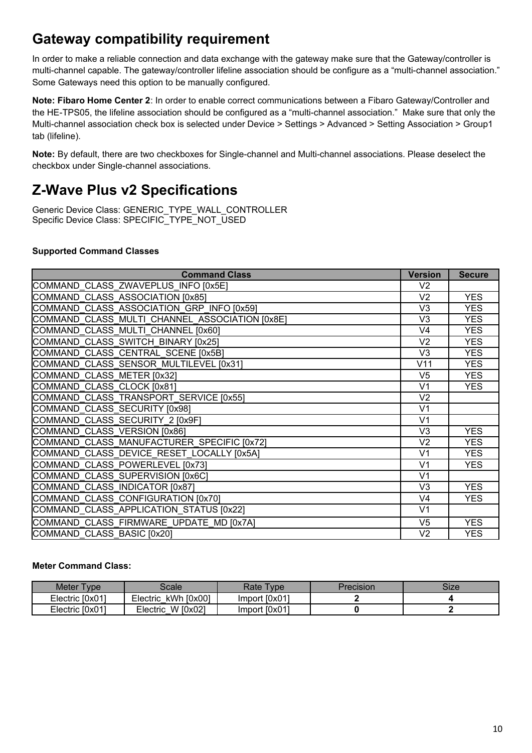### <span id="page-9-1"></span>**Gateway compatibility requirement**

In order to make a reliable connection and data exchange with the gateway make sure that the Gateway/controller is multi-channel capable. The gateway/controller lifeline association should be configure as a "multi-channel association." Some Gateways need this option to be manually configured.

**Note: Fibaro Home Center 2**: In order to enable correct communications between a Fibaro Gateway/Controller and the HE-TPS05, the lifeline association should be configured as a "multi-channel association." Make sure that only the Multi-channel association check box is selected under Device > Settings > Advanced > Setting Association > Group1 tab (lifeline).

**Note:** By default, there are two checkboxes for Single-channel and Multi-channel associations. Please deselect the checkbox under Single-channel associations.

### <span id="page-9-0"></span>**Z-Wave Plus v2 Specifications**

Generic Device Class: GENERIC\_TYPE\_WALL\_CONTROLLER Specific Device Class: SPECIFIC\_TYPE\_NOT\_USED

#### **Supported Command Classes**

| <b>Command Class</b>                           | <b>Version</b> | <b>Secure</b> |
|------------------------------------------------|----------------|---------------|
| COMMAND CLASS ZWAVEPLUS INFO [0x5E]            | V <sub>2</sub> |               |
| COMMAND CLASS ASSOCIATION [0x85]               | V <sub>2</sub> | <b>YES</b>    |
| COMMAND CLASS ASSOCIATION GRP INFO [0x59]      | V <sub>3</sub> | <b>YES</b>    |
| COMMAND CLASS MULTI CHANNEL ASSOCIATION [0x8E] | V <sub>3</sub> | <b>YES</b>    |
| COMMAND CLASS MULTI CHANNEL [0x60]             | V <sub>4</sub> | <b>YES</b>    |
| COMMAND CLASS SWITCH_BINARY [0x25]             | V <sub>2</sub> | <b>YES</b>    |
| COMMAND CLASS CENTRAL SCENE [0x5B]             | V3             | <b>YES</b>    |
| COMMAND CLASS SENSOR MULTILEVEL [0x31]         | V11            | <b>YES</b>    |
| COMMAND CLASS METER [0x32]                     | V <sub>5</sub> | <b>YES</b>    |
| COMMAND CLASS CLOCK [0x81]                     | V <sub>1</sub> | YES.          |
| COMMAND CLASS TRANSPORT SERVICE [0x55]         | V <sub>2</sub> |               |
| COMMAND CLASS SECURITY [0x98]                  | V <sub>1</sub> |               |
| COMMAND CLASS SECURITY 2 [0x9F]                | V <sub>1</sub> |               |
| COMMAND CLASS VERSION [0x86]                   | V3             | <b>YES</b>    |
| COMMAND CLASS MANUFACTURER SPECIFIC [0x72]     | V <sub>2</sub> | <b>YES</b>    |
| COMMAND CLASS DEVICE RESET LOCALLY [0x5A]      | V <sub>1</sub> | <b>YES</b>    |
| COMMAND CLASS POWERLEVEL [0x73]                | V <sub>1</sub> | <b>YES</b>    |
| COMMAND CLASS SUPERVISION [0x6C]               | V <sub>1</sub> |               |
| COMMAND CLASS INDICATOR [0x87]                 | V3             | <b>YES</b>    |
| COMMAND CLASS CONFIGURATION [0x70]             | V4             | <b>YES</b>    |
| COMMAND CLASS APPLICATION STATUS [0x22]        | V <sub>1</sub> |               |
| COMMAND CLASS FIRMWARE UPDATE MD [0x7A]        | V <sub>5</sub> | <b>YES</b>    |
| COMMAND_CLASS_BASIC [0x20]                     | V <sub>2</sub> | <b>YES</b>    |

#### **Meter Command Class:**

| <b>Meter</b><br>'vpe | ਤੇcale                 | Rate<br><b>vpe</b> | Precision | Size |
|----------------------|------------------------|--------------------|-----------|------|
| Electric [0x01]      | kWh [0x00]<br>Electric | Import [0x01'      |           |      |
| Electric [0x01]      | W [0x02]<br>Electric   | [0x01]<br>mport    |           |      |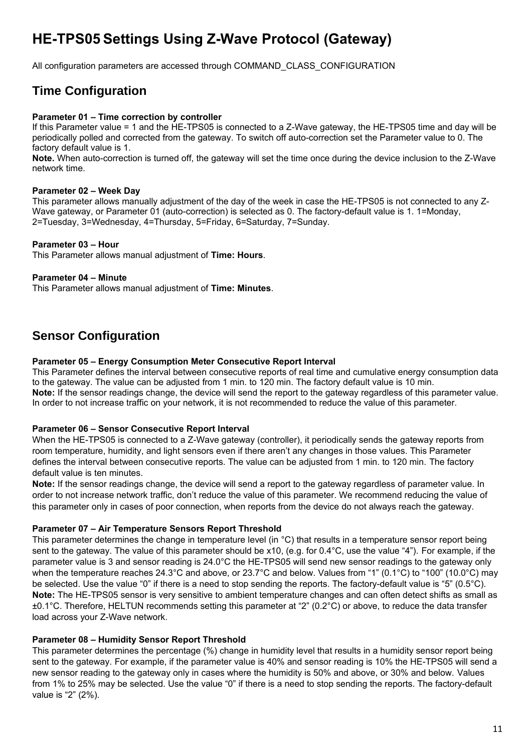### <span id="page-10-2"></span>**HE-TPS05 Settings Using Z-Wave Protocol (Gateway)**

All configuration parameters are accessed through COMMAND\_CLASS\_CONFIGURATION

### <span id="page-10-1"></span>**Time Configuration**

#### **Parameter 01 – Time correction by controller**

If this Parameter value = 1 and the HE-TPS05 is connected to a Z-Wave gateway, the HE-TPS05 time and day will be periodically polled and corrected from the gateway. To switch off auto-correction set the Parameter value to 0. The factory default value is 1.

**Note.** When auto-correction is turned off, the gateway will set the time once during the device inclusion to the Z-Wave network time.

#### **Parameter 02 – Week Day**

This parameter allows manually adjustment of the day of the week in case the HE-TPS05 is not connected to any Z-Wave gateway, or Parameter 01 (auto-correction) is selected as 0. The factory-default value is 1. 1=Monday, 2=Tuesday, 3=Wednesday, 4=Thursday, 5=Friday, 6=Saturday, 7=Sunday.

#### **Parameter 03 – Hour**

This Parameter allows manual adjustment of **Time: Hours**.

#### **Parameter 04 – Minute**

This Parameter allows manual adjustment of **Time: Minutes**.

### <span id="page-10-0"></span>**Sensor Configuration**

#### **Parameter 05 – Energy Consumption Meter Consecutive Report Interval**

This Parameter defines the interval between consecutive reports of real time and cumulative energy consumption data to the gateway. The value can be adjusted from 1 min. to 120 min. The factory default value is 10 min. **Note:** If the sensor readings change, the device will send the report to the gateway regardless of this parameter value. In order to not increase traffic on your network, it is not recommended to reduce the value of this parameter.

#### **Parameter 06 – Sensor Consecutive Report Interval**

When the HE-TPS05 is connected to a Z-Wave gateway (controller), it periodically sends the gateway reports from room temperature, humidity, and light sensors even if there aren't any changes in those values. This Parameter defines the interval between consecutive reports. The value can be adjusted from 1 min. to 120 min. The factory default value is ten minutes.

**Note:** If the sensor readings change, the device will send a report to the gateway regardless of parameter value. In order to not increase network traffic, don't reduce the value of this parameter. We recommend reducing the value of this parameter only in cases of poor connection, when reports from the device do not always reach the gateway.

#### **Parameter 07 – Air Temperature Sensors Report Threshold**

This parameter determines the change in temperature level (in °C) that results in a temperature sensor report being sent to the gateway. The value of this parameter should be x10, (e.g. for 0.4°C, use the value "4"). For example, if the parameter value is 3 and sensor reading is 24.0°C the HE-TPS05 will send new sensor readings to the gateway only when the temperature reaches 24.3°C and above, or 23.7°C and below. Values from "1" (0.1°C) to "100" (10.0°C) may be selected. Use the value "0" if there is a need to stop sending the reports. The factory-default value is "5" (0.5°C). **Note:** The HE-TPS05 sensor is very sensitive to ambient temperature changes and can often detect shifts as small as ±0.1°C. Therefore, HELTUN recommends setting this parameter at "2" (0.2°C) or above, to reduce the data transfer load across your Z-Wave network.

#### **Parameter 08 – Humidity Sensor Report Threshold**

This parameter determines the percentage (%) change in humidity level that results in a humidity sensor report being sent to the gateway. For example, if the parameter value is 40% and sensor reading is 10% the HE-TPS05 will send a new sensor reading to the gateway only in cases where the humidity is 50% and above, or 30% and below. Values from 1% to 25% may be selected. Use the value "0" if there is a need to stop sending the reports. The factory-default value is "2" (2%).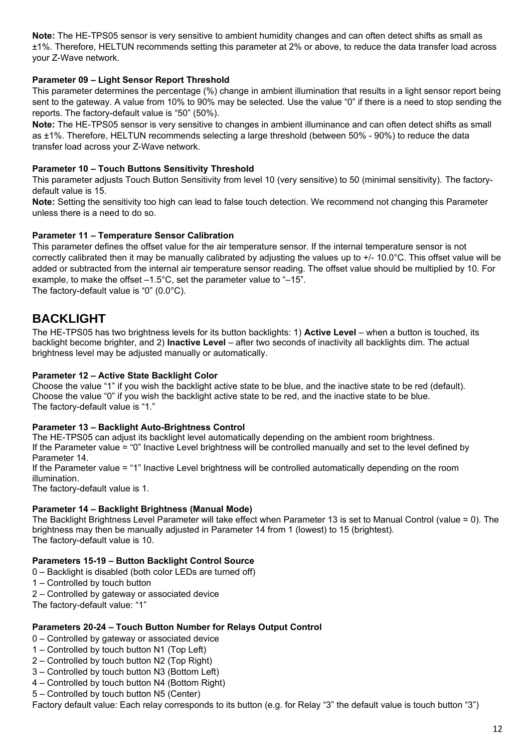**Note:** The HE-TPS05 sensor is very sensitive to ambient humidity changes and can often detect shifts as small as ±1%. Therefore, HELTUN recommends setting this parameter at 2% or above, to reduce the data transfer load across your Z-Wave network.

#### **Parameter 09 – Light Sensor Report Threshold**

This parameter determines the percentage (%) change in ambient illumination that results in a light sensor report being sent to the gateway. A value from 10% to 90% may be selected. Use the value "0" if there is a need to stop sending the reports. The factory-default value is "50" (50%).

**Note:** The HE-TPS05 sensor is very sensitive to changes in ambient illuminance and can often detect shifts as small as ±1%. Therefore, HELTUN recommends selecting a large threshold (between 50% - 90%) to reduce the data transfer load across your Z-Wave network.

#### **Parameter 10 – Touch Buttons Sensitivity Threshold**

This parameter adjusts Touch Button Sensitivity from level 10 (very sensitive) to 50 (minimal sensitivity). The factorydefault value is 15.

**Note:** Setting the sensitivity too high can lead to false touch detection. We recommend not changing this Parameter unless there is a need to do so.

#### **Parameter 11 – Temperature Sensor Calibration**

This parameter defines the offset value for the air temperature sensor. If the internal temperature sensor is not correctly calibrated then it may be manually calibrated by adjusting the values up to +/- 10.0°C. This offset value will be added or subtracted from the internal air temperature sensor reading. The offset value should be multiplied by 10. For example, to make the offset –1.5°C, set the parameter value to "–15". The factory-default value is "0" (0.0°C).

### <span id="page-11-0"></span>**BACKLIGHT**

The HE-TPS05 has two brightness levels for its button backlights: 1) **Active Level** – when a button is touched, its backlight become brighter, and 2) **Inactive Level** – after two seconds of inactivity all backlights dim. The actual brightness level may be adjusted manually or automatically.

#### **Parameter 12 – Active State Backlight Color**

Choose the value "1" if you wish the backlight active state to be blue, and the inactive state to be red (default). Choose the value "0" if you wish the backlight active state to be red, and the inactive state to be blue. The factory-default value is "1."

#### **Parameter 13 – Backlight Auto-Brightness Control**

The HE-TPS05 can adjust its backlight level automatically depending on the ambient room brightness. If the Parameter value = "0" Inactive Level brightness will be controlled manually and set to the level defined by Parameter 14.

If the Parameter value = "1" Inactive Level brightness will be controlled automatically depending on the room illumination.

The factory-default value is 1.

#### **Parameter 14 – Backlight Brightness (Manual Mode)**

The Backlight Brightness Level Parameter will take effect when Parameter 13 is set to Manual Control (value = 0). The brightness may then be manually adjusted in Parameter 14 from 1 (lowest) to 15 (brightest). The factory-default value is 10.

#### **Parameters 15-19 – Button Backlight Control Source**

- 0 Backlight is disabled (both color LEDs are turned off)
- 1 Controlled by touch button
- 2 Controlled by gateway or associated device

The factory-default value: "1"

#### **Parameters 20-24 – Touch Button Number for Relays Output Control**

- 0 Controlled by gateway or associated device
- 1 Controlled by touch button N1 (Top Left)
- 2 Controlled by touch button N2 (Top Right)
- 3 Controlled by touch button N3 (Bottom Left)
- 4 Controlled by touch button N4 (Bottom Right)
- 5 Controlled by touch button N5 (Center)

Factory default value: Each relay corresponds to its button (e.g. for Relay "3" the default value is touch button "3")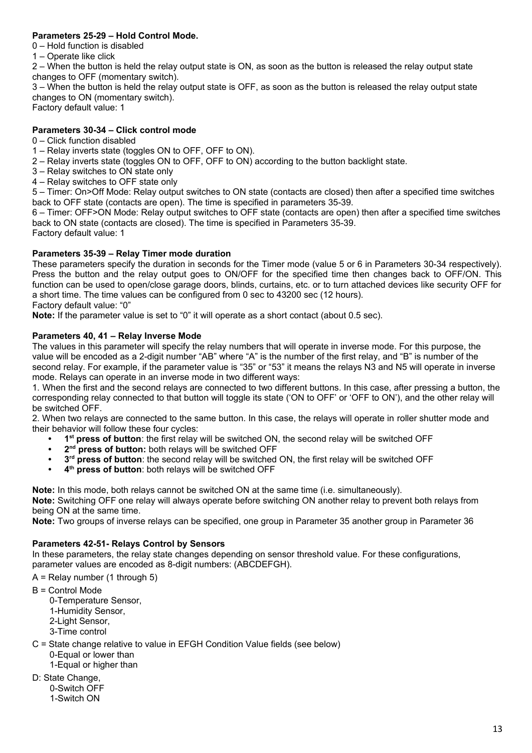#### **Parameters 25-29 – Hold Control Mode.**

- 0 Hold function is disabled
- 1 Operate like click

2 – When the button is held the relay output state is ON, as soon as the button is released the relay output state changes to OFF (momentary switch).

3 – When the button is held the relay output state is OFF, as soon as the button is released the relay output state changes to ON (momentary switch).

Factory default value: 1

#### **Parameters 30-34 – Click control mode**

#### 0 – Click function disabled

- 1 Relay inverts state (toggles ON to OFF, OFF to ON).
- 2 Relay inverts state (toggles ON to OFF, OFF to ON) according to the button backlight state.
- 3 Relay switches to ON state only
- 4 Relay switches to OFF state only

5 – Timer: On>Off Mode: Relay output switches to ON state (contacts are closed) then after a specified time switches back to OFF state (contacts are open). The time is specified in parameters 35-39.

6 – Timer: OFF>ON Mode: Relay output switches to OFF state (contacts are open) then after a specified time switches back to ON state (contacts are closed). The time is specified in Parameters 35-39.

Factory default value: 1

#### **Parameters 35-39 – Relay Timer mode duration**

These parameters specify the duration in seconds for the Timer mode (value 5 or 6 in Parameters 30-34 respectively). Press the button and the relay output goes to ON/OFF for the specified time then changes back to OFF/ON. This function can be used to open/close garage doors, blinds, curtains, etc. or to turn attached devices like security OFF for a short time. The time values can be configured from 0 sec to 43200 sec (12 hours).

Factory default value: "0"

**Note:** If the parameter value is set to "0" it will operate as a short contact (about 0.5 sec).

#### **Parameters 40, 41 – Relay Inverse Mode**

The values in this parameter will specify the relay numbers that will operate in inverse mode. For this purpose, the value will be encoded as a 2-digit number "AB" where "A" is the number of the first relay, and "B" is number of the second relay. For example, if the parameter value is "35" or "53" it means the relays N3 and N5 will operate in inverse mode. Relays can operate in an inverse mode in two different ways:

1. When the first and the second relays are connected to two different buttons. In this case, after pressing a button, the corresponding relay connected to that button will toggle its state ('ON to OFF' or 'OFF to ON'), and the other relay will be switched OFF.

2. When two relays are connected to the same button. In this case, the relays will operate in roller shutter mode and their behavior will follow these four cycles:

- **• 1 st press of button**: the first relay will be switched ON, the second relay will be switched OFF
- **• 2 nd press of button:** both relays will be switched OFF
- **• 3 rd press of button**: the second relay will be switched ON, the first relay will be switched OFF
- **• 4 th press of button**: both relays will be switched OFF

**Note:** In this mode, both relays cannot be switched ON at the same time (i.e. simultaneously).

**Note:** Switching OFF one relay will always operate before switching ON another relay to prevent both relays from being ON at the same time.

**Note:** Two groups of inverse relays can be specified, one group in Parameter 35 another group in Parameter 36

#### **Parameters 42-51- Relays Control by Sensors**

In these parameters, the relay state changes depending on sensor threshold value. For these configurations, parameter values are encoded as 8-digit numbers: (ABCDEFGH).

 $A =$  Relay number (1 through 5)

- B = Control Mode
	- 0-Temperature Sensor, 1-Humidity Sensor,
	- 2-Light Sensor,
	- 3-Time control
- C = State change relative to value in EFGH Condition Value fields (see below) 0-Equal or lower than 1-Equal or higher than
- D: State Change, 0-Switch OFF 1-Switch ON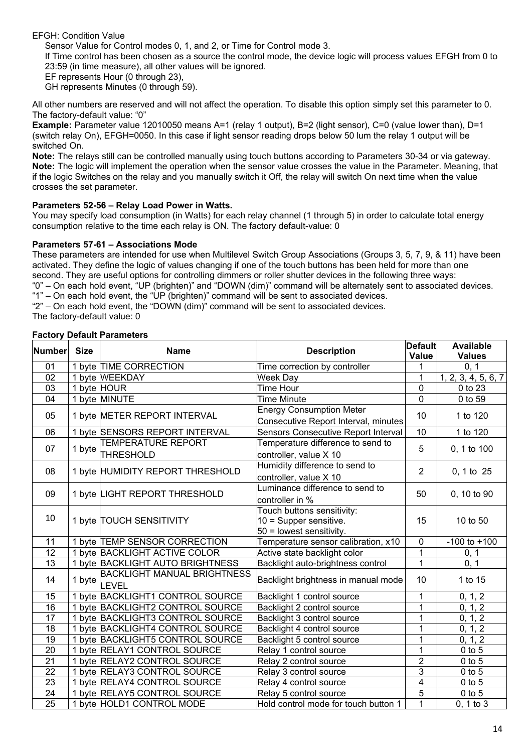#### EFGH: Condition Value

Sensor Value for Control modes 0, 1, and 2, or Time for Control mode 3.

If Time control has been chosen as a source the control mode, the device logic will process values EFGH from 0 to 23:59 (in time measure), all other values will be ignored.

EF represents Hour (0 through 23),

GH represents Minutes (0 through 59).

All other numbers are reserved and will not affect the operation. To disable this option simply set this parameter to 0. The factory-default value: "0"

**Example:** Parameter value 12010050 means A=1 (relay 1 output), B=2 (light sensor), C=0 (value lower than), D=1 (switch relay On), EFGH=0050. In this case if light sensor reading drops below 50 lum the relay 1 output will be switched On.

**Note:** The relays still can be controlled manually using touch buttons according to Parameters 30-34 or via gateway. **Note:** The logic will implement the operation when the sensor value crosses the value in the Parameter. Meaning, that if the logic Switches on the relay and you manually switch it Off, the relay will switch On next time when the value crosses the set parameter.

#### **Parameters 52-56 – Relay Load Power in Watts.**

You may specify load consumption (in Watts) for each relay channel (1 through 5) in order to calculate total energy consumption relative to the time each relay is ON. The factory default-value: 0

#### **Parameters 57-61 – Associations Mode**

These parameters are intended for use when Multilevel Switch Group Associations (Groups 3, 5, 7, 9, & 11) have been activated. They define the logic of values changing if one of the touch buttons has been held for more than one second. They are useful options for controlling dimmers or roller shutter devices in the following three ways: "0" – On each hold event, "UP (brighten)" and "DOWN (dim)" command will be alternately sent to associated devices. "1" – On each hold event, the "UP (brighten)" command will be sent to associated devices. "2" – On each hold event, the "DOWN (dim)" command will be sent to associated devices. The factory-default value: 0

#### **Factory Default Parameters**

| Number          | <b>Size</b> | <b>Name</b>                                 | <b>Default</b><br><b>Description</b>                                                 |                | <b>Available</b><br><b>Values</b> |
|-----------------|-------------|---------------------------------------------|--------------------------------------------------------------------------------------|----------------|-----------------------------------|
| 01              |             | 1 byte TIME CORRECTION                      | Time correction by controller                                                        |                | 0, 1                              |
| 02              |             | 1 byte WEEKDAY                              | <b>Week Day</b>                                                                      | 1              | 1, 2, 3, 4, 5, 6, 7               |
| 03              | 1 byte HOUR |                                             | <b>Time Hour</b>                                                                     | 0              | 0 to 23                           |
| 04              |             | 1 byte MINUTE                               | <b>Time Minute</b>                                                                   | 0              | 0 to 59                           |
| 05              |             | 1 byte METER REPORT INTERVAL                | <b>Energy Consumption Meter</b><br>Consecutive Report Interval, minutes              | 10             | 1 to 120                          |
| 06              |             | 1 byte SENSORS REPORT INTERVAL              | Sensors Consecutive Report Interval                                                  | 10             | 1 to 120                          |
| 07              | 1 byte      | <b>TEMPERATURE REPORT</b><br>THRESHOLD      | Temperature difference to send to<br>controller, value X 10                          | 5              | 0, 1 to 100                       |
| 08              |             | 1 byte HUMIDITY REPORT THRESHOLD            | Humidity difference to send to<br>controller, value X 10                             | $\overline{2}$ | 0, 1 to 25                        |
| 09              |             | 1 byte LIGHT REPORT THRESHOLD               | Luminance difference to send to<br>controller in %                                   | 50             | 0, 10 to 90                       |
| 10              |             | 1 byte TOUCH SENSITIVITY                    | Touch buttons sensitivity:<br>$10 =$ Supper sensitive.<br>$50$ = lowest sensitivity. | 15             | 10 to 50                          |
| 11              |             | 1 byte TEMP SENSOR CORRECTION               | Temperature sensor calibration, x10                                                  | $\mathbf 0$    | $-100$ to $+100$                  |
| 12              |             | 1 byte BACKLIGHT ACTIVE COLOR               | Active state backlight color                                                         | $\mathbf{1}$   | 0, 1                              |
| 13              |             | 1 byte BACKLIGHT AUTO BRIGHTNESS            | Backlight auto-brightness control                                                    | $\mathbf{1}$   | 0, 1                              |
| 14              | 1 byte      | <b>BACKLIGHT MANUAL BRIGHTNESS</b><br>LEVEL | Backlight brightness in manual mode                                                  | 10             | 1 to 15                           |
| 15              |             | 1 byte BACKLIGHT1 CONTROL SOURCE            | Backlight 1 control source                                                           | 1              | 0, 1, 2                           |
| 16              |             | 1 byte BACKLIGHT2 CONTROL SOURCE            | Backlight 2 control source                                                           | 1              | 0, 1, 2                           |
| 17              |             | 1 byte BACKLIGHT3 CONTROL SOURCE            | Backlight 3 control source                                                           | 1              | 0, 1, 2                           |
| 18              |             | 1 byte BACKLIGHT4 CONTROL SOURCE            | Backlight 4 control source                                                           | $\mathbf{1}$   | 0, 1, 2                           |
| 19              |             | 1 byte BACKLIGHT5 CONTROL SOURCE            | Backlight 5 control source                                                           | 1              | 0, 1, 2                           |
| 20              |             | 1 byte RELAY1 CONTROL SOURCE                | Relay 1 control source                                                               | $\overline{1}$ | $0$ to $5$                        |
| 21              |             | 1 byte RELAY2 CONTROL SOURCE                | Relay 2 control source                                                               | $\overline{2}$ | $0$ to $5$                        |
| 22              |             | 1 byte RELAY3 CONTROL SOURCE                | Relay 3 control source                                                               | $\overline{3}$ | $0$ to $5$                        |
| 23              |             | 1 byte RELAY4 CONTROL SOURCE                | Relay 4 control source                                                               | $\overline{4}$ | $0$ to $5$                        |
| $\overline{24}$ |             | 1 byte RELAY5 CONTROL SOURCE                | Relay 5 control source                                                               | $\overline{5}$ | $0$ to $5$                        |
| 25              |             | 1 byte HOLD1 CONTROL MODE                   | Hold control mode for touch button 1                                                 | $\overline{1}$ | 0, 1 to 3                         |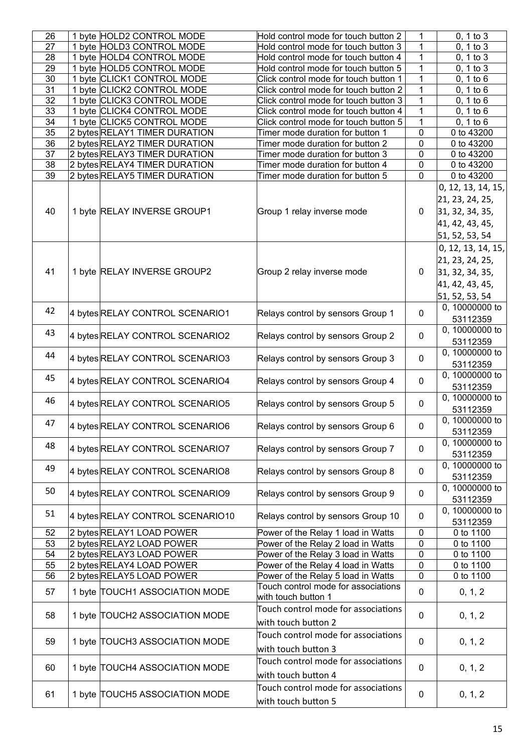| 26 | 1 byte HOLD2 CONTROL MODE        | Hold control mode for touch button 2  | 1              | 0, 1 to 3                    |
|----|----------------------------------|---------------------------------------|----------------|------------------------------|
| 27 | 1 byte HOLD3 CONTROL MODE        | Hold control mode for touch button 3  | 1              | 0, 1 to 3                    |
| 28 | 1 byte HOLD4 CONTROL MODE        | Hold control mode for touch button 4  | 1              | 0, 1 to 3                    |
| 29 | 1 byte HOLD5 CONTROL MODE        | Hold control mode for touch button 5  | 1              | 0, 1 to 3                    |
| 30 | 1 byte CLICK1 CONTROL MODE       | Click control mode for touch button 1 | 1              | 0, 1 to 6                    |
| 31 | 1 byte CLICK2 CONTROL MODE       | Click control mode for touch button 2 | 1              | 0, 1 to 6                    |
| 32 | 1 byte CLICK3 CONTROL MODE       | Click control mode for touch button 3 | 1              | 0, 1 to 6                    |
| 33 | 1 byte CLICK4 CONTROL MODE       | Click control mode for touch button 4 | 1              | 0, 1 to 6                    |
| 34 | 1 byte CLICK5 CONTROL MODE       | Click control mode for touch button 5 | $\overline{1}$ | 0, 1 to 6                    |
| 35 | 2 bytes RELAY1 TIMER DURATION    | Timer mode duration for button 1      | 0              | 0 to 43200                   |
| 36 | 2 bytes RELAY2 TIMER DURATION    | Timer mode duration for button 2      | 0              | 0 to 43200                   |
| 37 | 2 bytes RELAY3 TIMER DURATION    | Timer mode duration for button 3      | 0              | 0 to 43200                   |
| 38 | 2 bytes RELAY4 TIMER DURATION    | Timer mode duration for button 4      | 0              | 0 to 43200                   |
| 39 |                                  |                                       | 0              | 0 to 43200                   |
|    | 2 bytes RELAY5 TIMER DURATION    | Timer mode duration for button 5      |                |                              |
|    |                                  |                                       |                | 0, 12, 13, 14, 15,           |
|    |                                  |                                       |                | 21, 23, 24, 25,              |
| 40 | 1 byte RELAY INVERSE GROUP1      | Group 1 relay inverse mode            | 0              | 31, 32, 34, 35,              |
|    |                                  |                                       |                | 41, 42, 43, 45,              |
|    |                                  |                                       |                | 51, 52, 53, 54               |
|    |                                  |                                       |                |                              |
|    |                                  |                                       |                | 0, 12, 13, 14, 15,           |
|    |                                  |                                       |                | 21, 23, 24, 25,              |
| 41 | 1 byte RELAY INVERSE GROUP2      | Group 2 relay inverse mode            | 0              | 31, 32, 34, 35,              |
|    |                                  |                                       |                | 41, 42, 43, 45,              |
|    |                                  |                                       |                | 51, 52, 53, 54               |
|    |                                  |                                       |                | $\overline{0}$ , 10000000 to |
| 42 | 4 bytes RELAY CONTROL SCENARIO1  | Relays control by sensors Group 1     | $\Omega$       |                              |
|    |                                  |                                       |                | 53112359                     |
| 43 | 4 bytes RELAY CONTROL SCENARIO2  | Relays control by sensors Group 2     | 0              | 0, 10000000 to               |
|    |                                  |                                       |                | 53112359                     |
| 44 | 4 bytes RELAY CONTROL SCENARIO3  | Relays control by sensors Group 3     | 0              | 0, 10000000 to               |
|    |                                  |                                       |                | 53112359                     |
| 45 |                                  |                                       |                | 0, 10000000 to               |
|    | 4 bytes RELAY CONTROL SCENARIO4  | Relays control by sensors Group 4     | 0              | 53112359                     |
| 46 |                                  |                                       |                | 0, 10000000 to               |
|    | 4 bytes RELAY CONTROL SCENARIO5  | Relays control by sensors Group 5     | 0              | 53112359                     |
|    |                                  |                                       |                | 0, 10000000 to               |
| 47 | 4 bytes RELAY CONTROL SCENARIO6  | Relays control by sensors Group 6     | 0              | 53112359                     |
|    |                                  |                                       |                | 0, 10000000 to               |
| 48 | 4 bytes RELAY CONTROL SCENARIO7  | Relays control by sensors Group 7     | 0              |                              |
|    |                                  |                                       |                | 53112359                     |
| 49 | 4 bytes RELAY CONTROL SCENARIO8  | Relays control by sensors Group 8     | $\mathbf 0$    | 0, 10000000 to               |
|    |                                  |                                       |                | 53112359                     |
| 50 | 4 bytes RELAY CONTROL SCENARIO9  | Relays control by sensors Group 9     | 0              | 0, 10000000 to               |
|    |                                  |                                       |                | 53112359                     |
| 51 |                                  |                                       |                | 0, 10000000 to               |
|    | 4 bytes RELAY CONTROL SCENARIO10 | Relays control by sensors Group 10    | $\mathbf{0}$   | 53112359                     |
| 52 | 2 bytes RELAY1 LOAD POWER        | Power of the Relay 1 load in Watts    | 0              | 0 to 1100                    |
| 53 | 2 bytes RELAY2 LOAD POWER        | Power of the Relay 2 load in Watts    | 0              | 0 to 1100                    |
| 54 | 2 bytes RELAY3 LOAD POWER        | Power of the Relay 3 load in Watts    | 0              | 0 to 1100                    |
| 55 | 2 bytes RELAY4 LOAD POWER        | Power of the Relay 4 load in Watts    | 0              | 0 to 1100                    |
| 56 | 2 bytes RELAY5 LOAD POWER        | Power of the Relay 5 load in Watts    | 0              | 0 to 1100                    |
|    |                                  | Touch control mode for associations   |                |                              |
| 57 | 1 byte TOUCH1 ASSOCIATION MODE   | with touch button 1                   | 0              | 0, 1, 2                      |
|    |                                  | Touch control mode for associations   |                |                              |
| 58 | 1 byte TOUCH2 ASSOCIATION MODE   |                                       | 0              | 0, 1, 2                      |
|    |                                  | with touch button 2                   |                |                              |
|    |                                  | Touch control mode for associations   |                |                              |
| 59 | 1 byte TOUCH3 ASSOCIATION MODE   | with touch button 3                   | 0              | 0, 1, 2                      |
|    |                                  | Touch control mode for associations   |                |                              |
| 60 | 1 byte TOUCH4 ASSOCIATION MODE   |                                       | $\mathbf 0$    | 0, 1, 2                      |
|    |                                  | with touch button 4                   |                |                              |
|    |                                  | Touch control mode for associations   |                |                              |
| 61 | 1 byte TOUCH5 ASSOCIATION MODE   | with touch button 5                   | 0              | 0, 1, 2                      |
|    |                                  |                                       |                |                              |